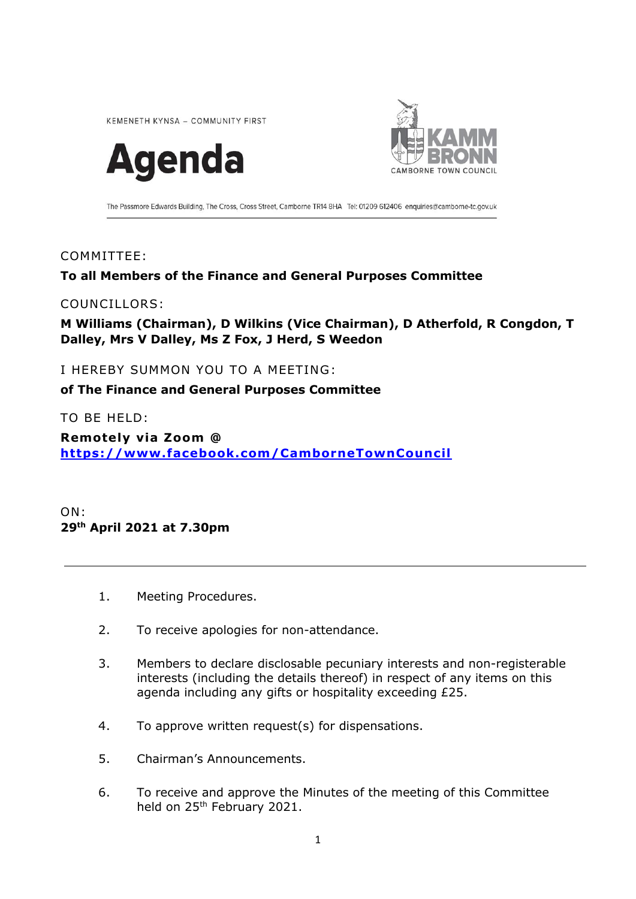KEMENETH KYNSA - COMMUNITY FIRST





The Passmore Edwards Building, The Cross, Cross Street, Camborne TR14 8HA Tel: 01209 612406 enquiries@camborne-tc.gov.uk

# COMMITTEE:

# **To all Members of the Finance and General Purposes Committee**

### COUNCILLORS:

**M Williams (Chairman), D Wilkins (Vice Chairman), D Atherfold, R Congdon, T Dalley, Mrs V Dalley, Ms Z Fox, J Herd, S Weedon**

I HEREBY SUMMON YOU TO A MEETING:

**of The Finance and General Purposes Committee**

TO BE HELD:

**Remote ly v ia Zoom @ <https://www.facebook.com/CamborneTownCouncil>**

ON: **29 th April 2021 at 7.30pm**

- 1. Meeting Procedures.
- 2. To receive apologies for non-attendance.
- 3. Members to declare disclosable pecuniary interests and non-registerable interests (including the details thereof) in respect of any items on this agenda including any gifts or hospitality exceeding £25.
- 4. To approve written request(s) for dispensations.
- 5. Chairman's Announcements.
- 6. To receive and approve the Minutes of the meeting of this Committee held on 25<sup>th</sup> February 2021.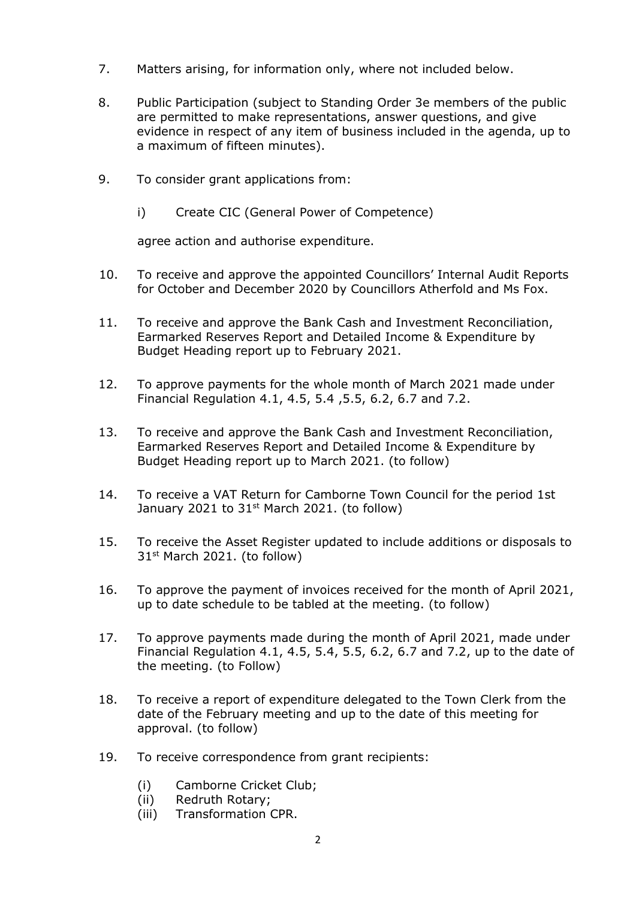- 7. Matters arising, for information only, where not included below.
- 8. Public Participation (subject to Standing Order 3e members of the public are permitted to make representations, answer questions, and give evidence in respect of any item of business included in the agenda, up to a maximum of fifteen minutes).
- 9. To consider grant applications from:
	- i) Create CIC (General Power of Competence)

agree action and authorise expenditure.

- 10. To receive and approve the appointed Councillors' Internal Audit Reports for October and December 2020 by Councillors Atherfold and Ms Fox.
- 11. To receive and approve the Bank Cash and Investment Reconciliation, Earmarked Reserves Report and Detailed Income & Expenditure by Budget Heading report up to February 2021.
- 12. To approve payments for the whole month of March 2021 made under Financial Regulation 4.1, 4.5, 5.4 ,5.5, 6.2, 6.7 and 7.2.
- 13. To receive and approve the Bank Cash and Investment Reconciliation, Earmarked Reserves Report and Detailed Income & Expenditure by Budget Heading report up to March 2021. (to follow)
- 14. To receive a VAT Return for Camborne Town Council for the period 1st January 2021 to  $31<sup>st</sup>$  March 2021. (to follow)
- 15. To receive the Asset Register updated to include additions or disposals to 31<sup>st</sup> March 2021. (to follow)
- 16. To approve the payment of invoices received for the month of April 2021, up to date schedule to be tabled at the meeting. (to follow)
- 17. To approve payments made during the month of April 2021, made under Financial Regulation 4.1, 4.5, 5.4, 5.5, 6.2, 6.7 and 7.2, up to the date of the meeting. (to Follow)
- 18. To receive a report of expenditure delegated to the Town Clerk from the date of the February meeting and up to the date of this meeting for approval. (to follow)
- 19. To receive correspondence from grant recipients:
	- (i) Camborne Cricket Club;
	- (ii) Redruth Rotary;
	- (iii) Transformation CPR.